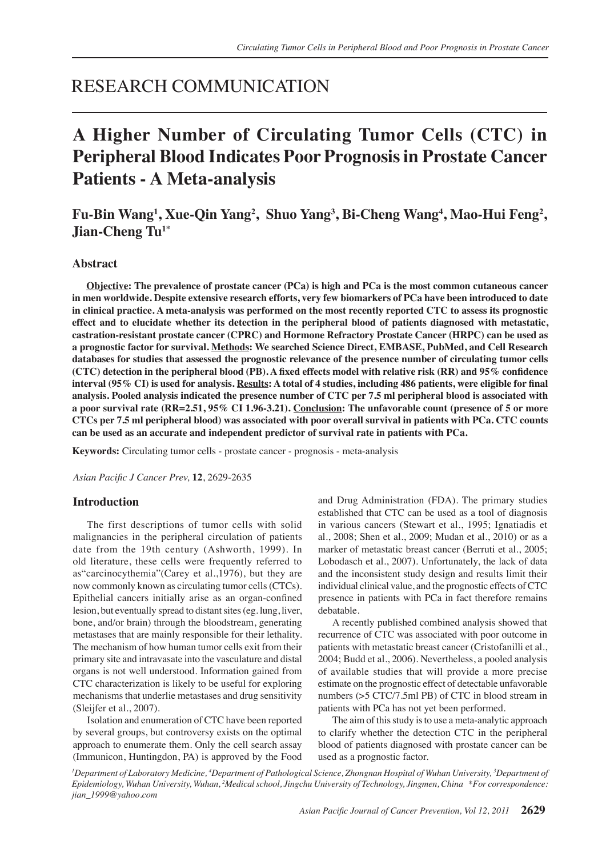# RESEARCH COMMUNICATION

# **A Higher Number of Circulating Tumor Cells (CTC) in Peripheral Blood Indicates Poor Prognosis in Prostate Cancer Patients - A Meta-analysis**

# **Fu-Bin Wang1 , Xue-Qin Yang2 , Shuo Yang<sup>3</sup> , Bi-Cheng Wang4 , Mao-Hui Feng2 , Jian-Cheng Tu1\***

# **Abstract**

**Objective: The prevalence of prostate cancer (PCa) is high and PCa is the most common cutaneous cancer in men worldwide. Despite extensive research efforts, very few biomarkers of PCa have been introduced to date in clinical practice. A meta-analysis was performed on the most recently reported CTC to assess its prognostic effect and to elucidate whether its detection in the peripheral blood of patients diagnosed with metastatic, castration-resistant prostate cancer (CPRC) and Hormone Refractory Prostate Cancer (HRPC) can be used as a prognostic factor for survival. Methods: We searched Science Direct, EMBASE, PubMed, and Cell Research databases for studies that assessed the prognostic relevance of the presence number of circulating tumor cells (CTC) detection in the peripheral blood (PB). A fixed effects model with relative risk (RR) and 95% confidence interval (95% CI) is used for analysis. Results: A total of 4 studies, including 486 patients, were eligible for final analysis. Pooled analysis indicated the presence number of CTC per 7.5 ml peripheral blood is associated with a poor survival rate (RR=2.51, 95% CI 1.96-3.21). Conclusion: The unfavorable count (presence of 5 or more CTCs per 7.5 ml peripheral blood) was associated with poor overall survival in patients with PCa. CTC counts can be used as an accurate and independent predictor of survival rate in patients with PCa.**

**Keywords:** Circulating tumor cells - prostate cancer - prognosis - meta-analysis

*Asian Pacific J Cancer Prev,* **12**, 2629-2635

#### **Introduction**

The first descriptions of tumor cells with solid malignancies in the peripheral circulation of patients date from the 19th century (Ashworth, 1999). In old literature, these cells were frequently referred to as"carcinocythemia"(Carey et al.,1976), but they are now commonly known as circulating tumor cells (CTCs). Epithelial cancers initially arise as an organ-confined lesion, but eventually spread to distant sites (eg. lung, liver, bone, and/or brain) through the bloodstream, generating metastases that are mainly responsible for their lethality. The mechanism of how human tumor cells exit from their primary site and intravasate into the vasculature and distal organs is not well understood. Information gained from CTC characterization is likely to be useful for exploring mechanisms that underlie metastases and drug sensitivity (Sleijfer et al., 2007).

Isolation and enumeration of CTC have been reported by several groups, but controversy exists on the optimal approach to enumerate them. Only the cell search assay (Immunicon, Huntingdon, PA) is approved by the Food and Drug Administration (FDA). The primary studies established that CTC can be used as a tool of diagnosis in various cancers (Stewart et al., 1995; Ignatiadis et al., 2008; Shen et al., 2009; Mudan et al., 2010) or as a marker of metastatic breast cancer (Berruti et al., 2005; Lobodasch et al., 2007). Unfortunately, the lack of data and the inconsistent study design and results limit their individual clinical value, and the prognostic effects of CTC presence in patients with PCa in fact therefore remains debatable.

A recently published combined analysis showed that recurrence of CTC was associated with poor outcome in patients with metastatic breast cancer (Cristofanilli et al., 2004; Budd et al., 2006). Nevertheless, a pooled analysis of available studies that will provide a more precise estimate on the prognostic effect of detectable unfavorable numbers (>5 CTC/7.5ml PB) of CTC in blood stream in patients with PCa has not yet been performed.

The aim of this study is to use a meta-analytic approach to clarify whether the detection CTC in the peripheral blood of patients diagnosed with prostate cancer can be used as a prognostic factor.

*1 Department of Laboratory Medicine, <sup>4</sup> Department of Pathological Science, Zhongnan Hospital of Wuhan University, <sup>3</sup> Department of Epidemiology, Wuhan University, Wuhan, 2 Medical school, Jingchu University of Technology, Jingmen, China \*For correspondence: jian\_1999@yahoo.com*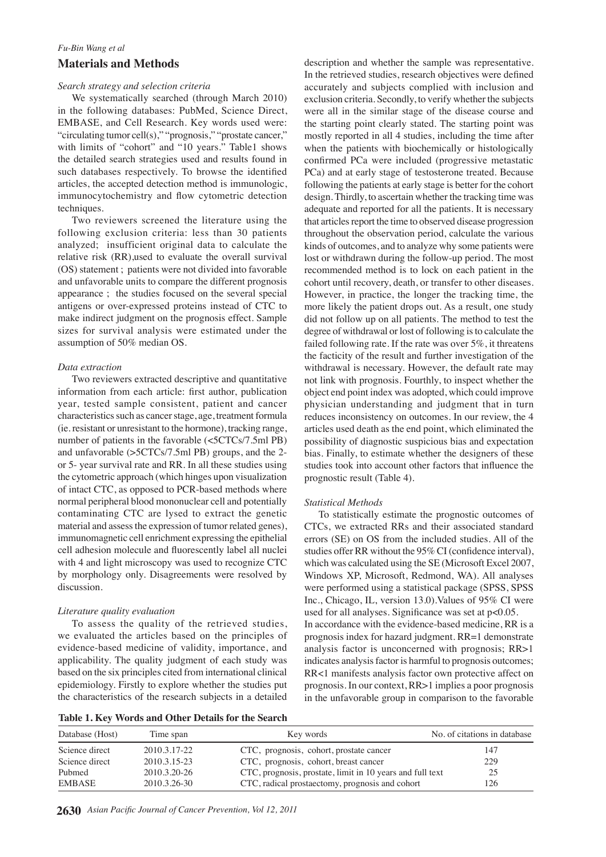# *Fu-Bin Wang et al* **Materials and Methods**

#### *Search strategy and selection criteria*

We systematically searched (through March 2010) in the following databases: PubMed, Science Direct, EMBASE, and Cell Research. Key words used were: "circulating tumor cell(s)," "prognosis," "prostate cancer," with limits of "cohort" and "10 years." Table1 shows the detailed search strategies used and results found in such databases respectively. To browse the identified articles, the accepted detection method is immunologic, immunocytochemistry and flow cytometric detection techniques.

Two reviewers screened the literature using the following exclusion criteria: less than 30 patients analyzed; insufficient original data to calculate the relative risk (RR),used to evaluate the overall survival (OS) statement ; patients were not divided into favorable and unfavorable units to compare the different prognosis appearance ; the studies focused on the several special antigens or over-expressed proteins instead of CTC to make indirect judgment on the prognosis effect. Sample sizes for survival analysis were estimated under the assumption of 50% median OS.

# *Data extraction*

Two reviewers extracted descriptive and quantitative information from each article: first author, publication year, tested sample consistent, patient and cancer characteristics such as cancer stage, age, treatment formula (ie. resistant or unresistant to the hormone), tracking range, number of patients in the favorable (<5CTCs/7.5ml PB) and unfavorable (>5CTCs/7.5ml PB) groups, and the 2 or 5- year survival rate and RR. In all these studies using the cytometric approach (which hinges upon visualization of intact CTC, as opposed to PCR-based methods where normal peripheral blood mononuclear cell and potentially contaminating CTC are lysed to extract the genetic material and assess the expression of tumor related genes), immunomagnetic cell enrichment expressing the epithelial cell adhesion molecule and fluorescently label all nuclei with 4 and light microscopy was used to recognize CTC by morphology only. Disagreements were resolved by discussion.

# *Literature quality evaluation*

To assess the quality of the retrieved studies, we evaluated the articles based on the principles of evidence-based medicine of validity, importance, and applicability. The quality judgment of each study was based on the six principles cited from international clinical epidemiology. Firstly to explore whether the studies put the characteristics of the research subjects in a detailed

description and whether the sample was representative. In the retrieved studies, research objectives were defined accurately and subjects complied with inclusion and exclusion criteria. Secondly, to verify whether the subjects were all in the similar stage of the disease course and the starting point clearly stated. The starting point was mostly reported in all 4 studies, including the time after when the patients with biochemically or histologically confirmed PCa were included (progressive metastatic PCa) and at early stage of testosterone treated. Because following the patients at early stage is better for the cohort design. Thirdly, to ascertain whether the tracking time was adequate and reported for all the patients. It is necessary that articles report the time to observed disease progression throughout the observation period, calculate the various kinds of outcomes, and to analyze why some patients were lost or withdrawn during the follow-up period. The most recommended method is to lock on each patient in the cohort until recovery, death, or transfer to other diseases. However, in practice, the longer the tracking time, the more likely the patient drops out. As a result, one study did not follow up on all patients. The method to test the degree of withdrawal or lost of following is to calculate the failed following rate. If the rate was over 5%, it threatens the facticity of the result and further investigation of the withdrawal is necessary. However, the default rate may not link with prognosis. Fourthly, to inspect whether the object end point index was adopted, which could improve physician understanding and judgment that in turn reduces inconsistency on outcomes. In our review, the 4 articles used death as the end point, which eliminated the possibility of diagnostic suspicious bias and expectation bias. Finally, to estimate whether the designers of these studies took into account other factors that influence the prognostic result (Table 4).

# *Statistical Methods*

To statistically estimate the prognostic outcomes of CTCs, we extracted RRs and their associated standard errors (SE) on OS from the included studies. All of the studies offer RR without the 95% CI (confidence interval), which was calculated using the SE (Microsoft Excel 2007, Windows XP, Microsoft, Redmond, WA). All analyses were performed using a statistical package (SPSS, SPSS Inc., Chicago, IL, version 13.0).Values of 95% CI were used for all analyses. Significance was set at p<0.05. In accordance with the evidence-based medicine, RR is a prognosis index for hazard judgment. RR=1 demonstrate analysis factor is unconcerned with prognosis; RR>1 indicates analysis factor is harmful to prognosis outcomes; RR<1 manifests analysis factor own protective affect on prognosis. In our context, RR>1 implies a poor prognosis in the unfavorable group in comparison to the favorable

| Table 1. Key Words and Other Details for the Search |  |  |  |  |
|-----------------------------------------------------|--|--|--|--|
|                                                     |  |  |  |  |

| Database (Host) | Time span    | Key words                                                 | No. of citations in database |
|-----------------|--------------|-----------------------------------------------------------|------------------------------|
| Science direct  | 2010.3.17-22 | CTC, prognosis, cohort, prostate cancer                   | 147                          |
| Science direct  | 2010.3.15-23 | CTC, prognosis, cohort, breast cancer                     | 229                          |
| Pubmed          | 2010.3.20-26 | CTC, prognosis, prostate, limit in 10 years and full text | 25                           |
| <b>EMBASE</b>   | 2010.3.26-30 | CTC, radical prostaectomy, prognosis and cohort           | 126                          |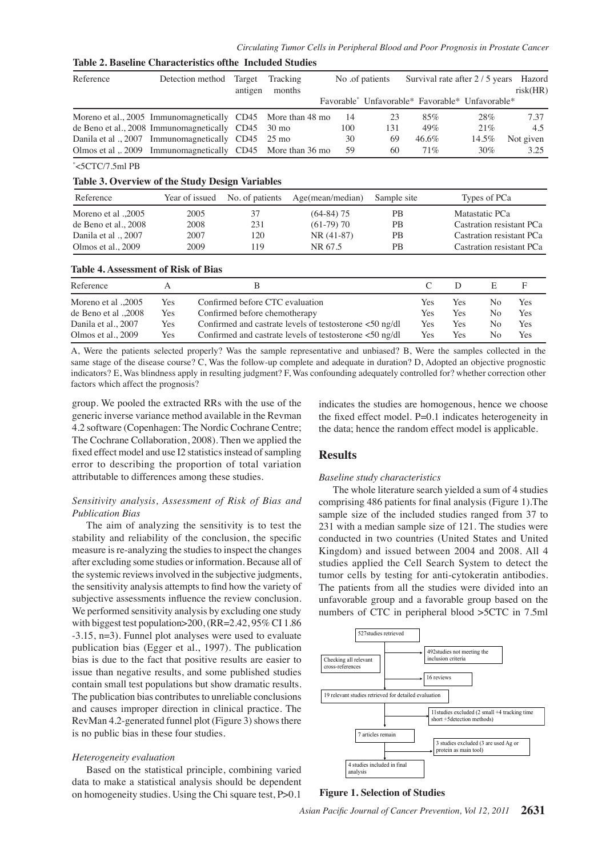| Table 2. Baseline Characteristics of the Included Studies |     |                         |                                                         |                    |                                                                          |     |                                                 |                                 |                |                |                               |       |
|-----------------------------------------------------------|-----|-------------------------|---------------------------------------------------------|--------------------|--------------------------------------------------------------------------|-----|-------------------------------------------------|---------------------------------|----------------|----------------|-------------------------------|-------|
| Reference                                                 |     | Detection method        | Target<br>antigen                                       | Tracking<br>months |                                                                          |     | No .of patients                                 | Survival rate after 2 / 5 years |                |                | Hazord<br>risk(HR)            |       |
|                                                           |     |                         |                                                         |                    |                                                                          |     | Favorable* Unfavorable* Favorable* Unfavorable* |                                 |                |                |                               |       |
| Moreno et al., 2005 Immunomagnetically                    |     |                         | CD45                                                    |                    | More than 48 mo                                                          | 14  | 23                                              | 85%                             |                | 28%            | 7.37                          |       |
| de Beno et al., 2008 Immunomagnetically CD45              |     |                         |                                                         | $30 \text{ mo}$    |                                                                          | 100 | 131                                             | 49%                             |                | 21%            | 4.5                           |       |
| Danila et al ., 2007                                      |     | Immunomagnetically CD45 |                                                         | $25 \text{ mo}$    |                                                                          | 30  | 69                                              | 46.6%                           |                | 14.5%          | Not given                     |       |
| Olmos et al , 2009 Immunomagnetically CD45                |     |                         |                                                         |                    | More than 36 mo                                                          | 59  | 60                                              | 71%                             |                | 30%            | 3.25                          |       |
| $\degree$ <5CTC/7.5ml PB                                  |     |                         |                                                         |                    |                                                                          |     |                                                 |                                 |                |                |                               |       |
| Table 3. Overview of the Study Design Variables           |     |                         |                                                         |                    |                                                                          |     |                                                 |                                 |                |                |                               | 100.0 |
| Reference                                                 |     | Year of issued          | No. of patients                                         |                    | Age(mean/median)                                                         |     | Sample site                                     |                                 |                | Types of PCa   |                               |       |
| Moreno et al ., 2005                                      |     | 2005                    | 37                                                      |                    | $(64-84)$ 75                                                             |     | <b>PB</b>                                       |                                 |                | Matastatic PCa |                               |       |
| de Beno et al., 2008                                      |     | 2008                    | 231                                                     |                    | $(61-79)$ 70                                                             |     | <b>PB</b>                                       |                                 |                |                | Castration resistant PCa 75.0 |       |
| Danila et al ., 2007                                      |     | 2007                    | 120                                                     |                    | $NR(41-87)$                                                              |     | <b>PB</b>                                       |                                 |                |                | Castration resistant PCa      |       |
| Olmos et al., 2009                                        |     | 2009                    | 119                                                     |                    | NR 67.5                                                                  |     | <b>PB</b>                                       |                                 |                |                | Castration resistant PCa      |       |
| <b>Table 4. Assessment of Risk of Bias</b>                |     |                         |                                                         |                    |                                                                          |     |                                                 |                                 |                |                |                               | 50.0  |
| Reference                                                 | A   |                         | B                                                       |                    |                                                                          |     |                                                 | C                               | D              | E              | F                             |       |
| Moreno et al ., 2005                                      | Yes |                         | Confirmed before CTC evaluation                         |                    |                                                                          |     |                                                 | Yes                             | Yes            | N <sub>o</sub> | Yes                           |       |
| de Beno et al .,2008                                      | Yes |                         | Confirmed before chemotherapy                           |                    |                                                                          | Yes | Yes                                             | N <sub>o</sub>                  | Yes            | 25.0           |                               |       |
| Danila et al., 2007                                       | Yes |                         | Confirmed and castrate levels of testosterone <50 ng/dl |                    |                                                                          |     | Yes                                             | Yes                             | N <sub>0</sub> | Yes            |                               |       |
| Olmos et al., 2009                                        | Yes |                         |                                                         |                    | Confirmed and castrate levels of testosterone $\langle 50 \rangle$ ng/dl |     |                                                 | Yes                             | Yes            | No             | Yes                           |       |

A, Were the patients selected properly? Was the sample representative and unbiased? B, Were the samples collected in the same stage of the disease course? C, Was the follow-up complete and adequate in duration? D, Adopted an objective prognostic indicators? E, Was blindness apply in resulting judgment? F, Was confounding adequately controlled for? whether correction other factors which affect the prognosis?

group. We pooled the extracted RRs with the use of the generic inverse variance method available in the Revman 4.2 software (Copenhagen: The Nordic Cochrane Centre; The Cochrane Collaboration, 2008). Then we applied the fixed effect model and use I2 statistics instead of sampling error to describing the proportion of total variation attributable to differences among these studies.

# *Sensitivity analysis, Assessment of Risk of Bias and Publication Bias*

The aim of analyzing the sensitivity is to test the stability and reliability of the conclusion, the specific measure is re-analyzing the studies to inspect the changes after excluding some studies or information. Because all of the systemic reviews involved in the subjective judgments, the sensitivity analysis attempts to find how the variety of subjective assessments influence the review conclusion. We performed sensitivity analysis by excluding one study with biggest test population>200, (RR=2.42, 95% CI 1.86) -3.15, n=3). Funnel plot analyses were used to evaluate publication bias (Egger et al., 1997). The publication bias is due to the fact that positive results are easier to issue than negative results, and some published studies contain small test populations but show dramatic results. The publication bias contributes to unreliable conclusions and causes improper direction in clinical practice. The RevMan 4.2-generated funnel plot (Figure 3) shows there is no public bias in these four studies.

#### *Heterogeneity evaluation*

Based on the statistical principle, combining varied data to make a statistical analysis should be dependent on homogeneity studies. Using the Chi square test, P>0.1

indicates the studies are homogenous, hence we choose the fixed effect model. P=0.1 indicates heterogeneity in the data; hence the random effect model is applicable.

# **Results**

#### *Baseline study characteristics*

The whole literature search yielded a sum of 4 studies comprising 486 patients for final analysis (Figure 1).The sample size of the included studies ranged from 37 to 231 with a median sample size of 121. The studies were conducted in two countries (United States and United Kingdom) and issued between 2004 and 2008. All 4 studies applied the Cell Search System to detect the tumor cells by testing for anti-cytokeratin antibodies. The patients from all the studies were divided into an unfavorable group and a favorable group based on the numbers of CTC in peripheral blood >5CTC in 7.5ml



#### **Figure 1. Selection of Studies**

**20.3 6.3 10.1**

 $\Omega$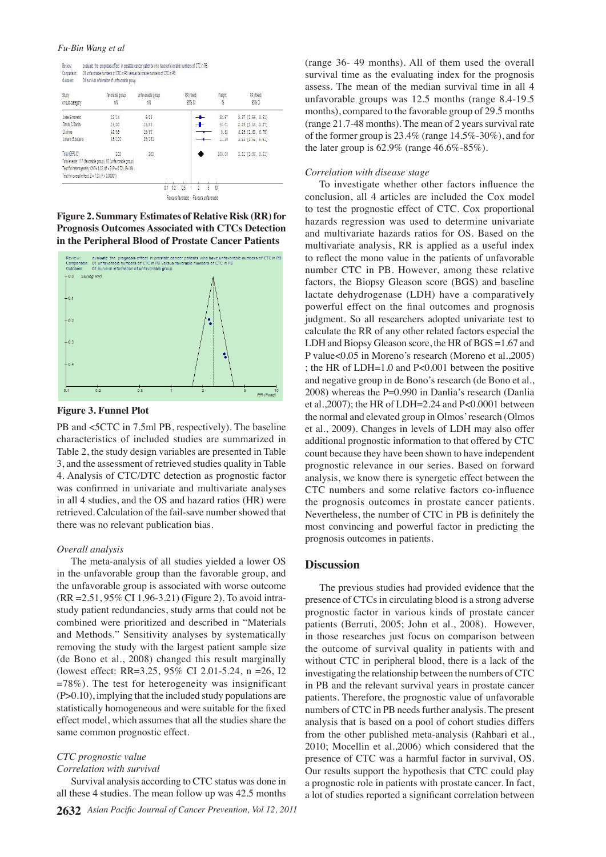| leview.     | evaluate the prognosis effect in prostate cancer patients who have unfavorable numbers of CTC in PB |
|-------------|-----------------------------------------------------------------------------------------------------|
| Comparison: | 01 unfavorable numbers of CTC in PB versus favorable numbers of CTC in PB                           |
| Outcome:    | 01 survival information of unfavorable group                                                        |

| Study<br>or sub-category                         | favorable group<br>nN                                         | unfavorable group<br>пN | RR (fixed)<br>95% CI | Weight<br>K | RR (fixed)<br>95% CI  |
|--------------------------------------------------|---------------------------------------------------------------|-------------------------|----------------------|-------------|-----------------------|
| Jose.G.moreno                                    | 12/14                                                         | 6/23                    |                      | 33.87       | 2.37 [1.56, 3.61]     |
| Daniel C.Dania                                   | 14/30                                                         | 10/69                   |                      | 46.01       | 2.29 [1.56, 3.37]     |
| D cimos                                          | 42/59                                                         | 18/60                   |                      | 8.62        | 3.29 [1.60, 6.75]     |
| Johann S.debeno                                  | 49/100                                                        | 28/131                  |                      | 11.50       | $3.22$ $[1.62, 6.41]$ |
| Total (95% Cl)                                   | 203                                                           | 283                     |                      | 100.00      | 2.51 [1.96, 3.21]     |
|                                                  | Total events: 117 (favorable group), 62 (unfavorable group)   |                         |                      |             |                       |
|                                                  | Test for heterogeneity: Chi?= 1.32, df = 3 (P = 0.72), i?= 0% |                         |                      |             |                       |
| Test for overall effect: Z = 7.33 (P < 0.00001). |                                                               |                         |                      |             |                       |

Favours favorable Favours unfavorable

**Figure 2. Summary Estimates of Relative Risk (RR) for Prognosis Outcomes Associated with CTCs Detection in the Peripheral Blood of Prostate Cancer Patients**



**Figure 3. Funnel Plot**

PB and <5CTC in 7.5ml PB, respectively). The baseline characteristics of included studies are summarized in Table 2, the study design variables are presented in Table 3, and the assessment of retrieved studies quality in Table 4. Analysis of CTC/DTC detection as prognostic factor was confirmed in univariate and multivariate analyses in all 4 studies, and the OS and hazard ratios (HR) were retrieved. Calculation of the fail-save number showed that there was no relevant publication bias.

#### *Overall analysis*

The meta-analysis of all studies yielded a lower OS in the unfavorable group than the favorable group, and the unfavorable group is associated with worse outcome (RR =2.51, 95% CI 1.96-3.21) (Figure 2). To avoid intrastudy patient redundancies, study arms that could not be combined were prioritized and described in "Materials and Methods." Sensitivity analyses by systematically removing the study with the largest patient sample size (de Bono et al., 2008) changed this result marginally (lowest effect: RR=3.25, 95% CI 2.01-5.24, n =26, I2 =78%). The test for heterogeneity was insignificant (P>0.10), implying that the included study populations are statistically homogeneous and were suitable for the fixed effect model, which assumes that all the studies share the same common prognostic effect.

#### *CTC prognostic value*

#### *Correlation with survival*

Survival analysis according to CTC status was done in all these 4 studies. The mean follow up was 42.5 months (range 36- 49 months). All of them used the overall survival time as the evaluating index for the prognosis assess. The mean of the median survival time in all 4 unfavorable groups was 12.5 months (range 8.4-19.5 months), compared to the favorable group of 29.5 months (range 21.7-48 months). The mean of 2 years survival rate of the former group is 23.4% (range 14.5%-30%), and for the later group is  $62.9\%$  (range  $46.6\%$ -85%).

#### *Correlation with disease stage*

To investigate whether other factors influence the conclusion, all 4 articles are included the Cox model to test the prognostic effect of CTC. Cox proportional hazards regression was used to determine univariate and multivariate hazards ratios for OS. Based on the multivariate analysis, RR is applied as a useful index to reflect the mono value in the patients of unfavorable number CTC in PB. However, among these relative factors, the Biopsy Gleason score (BGS) and baseline lactate dehydrogenase (LDH) have a comparatively powerful effect on the final outcomes and prognosis judgment. So all researchers adopted univariate test to calculate the RR of any other related factors especial the LDH and Biopsy Gleason score, the HR of BGS =1.67 and P value<0.05 in Moreno's research (Moreno et al.,2005) ; the HR of LDH=1.0 and P<0.001 between the positive and negative group in de Bono's research (de Bono et al., 2008) whereas the P=0.990 in Danlia's research (Danlia et al.,2007); the HR of LDH=2.24 and P<0.0001 between the normal and elevated group in Olmos' research (Olmos et al., 2009). Changes in levels of LDH may also offer additional prognostic information to that offered by CTC count because they have been shown to have independent prognostic relevance in our series. Based on forward analysis, we know there is synergetic effect between the CTC numbers and some relative factors co-influence the prognosis outcomes in prostate cancer patients. Nevertheless, the number of CTC in PB is definitely the most convincing and powerful factor in predicting the prognosis outcomes in patients.

#### **Discussion**

The previous studies had provided evidence that the presence of CTCs in circulating blood is a strong adverse prognostic factor in various kinds of prostate cancer patients (Berruti, 2005; John et al., 2008). However, in those researches just focus on comparison between the outcome of survival quality in patients with and without CTC in peripheral blood, there is a lack of the investigating the relationship between the numbers of CTC in PB and the relevant survival years in prostate cancer patients. Therefore, the prognostic value of unfavorable numbers of CTC in PB needs further analysis. The present analysis that is based on a pool of cohort studies differs from the other published meta-analysis (Rahbari et al., 2010; Mocellin et al.,2006) which considered that the presence of CTC was a harmful factor in survival, OS. Our results support the hypothesis that CTC could play a prognostic role in patients with prostate cancer. In fact, a lot of studies reported a significant correlation between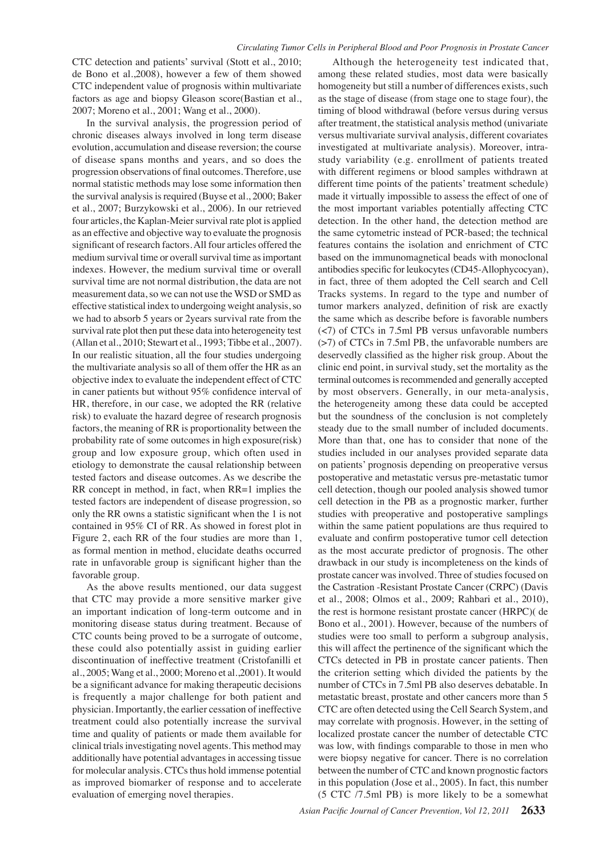CTC detection and patients' survival (Stott et al., 2010; de Bono et al.,2008), however a few of them showed CTC independent value of prognosis within multivariate factors as age and biopsy Gleason score(Bastian et al., 2007; Moreno et al., 2001; Wang et al., 2000).

In the survival analysis, the progression period of chronic diseases always involved in long term disease evolution, accumulation and disease reversion; the course of disease spans months and years, and so does the progression observations of final outcomes. Therefore, use normal statistic methods may lose some information then the survival analysis is required (Buyse et al., 2000; Baker et al., 2007; Burzykowski et al., 2006). In our retrieved four articles, the Kaplan-Meier survival rate plot is applied as an effective and objective way to evaluate the prognosis significant of research factors. All four articles offered the medium survival time or overall survival time as important indexes. However, the medium survival time or overall survival time are not normal distribution, the data are not measurement data, so we can not use the WSD or SMD as effective statistical index to undergoing weight analysis, so we had to absorb 5 years or 2years survival rate from the survival rate plot then put these data into heterogeneity test (Allan et al., 2010; Stewart et al., 1993; Tibbe et al., 2007). In our realistic situation, all the four studies undergoing the multivariate analysis so all of them offer the HR as an objective index to evaluate the independent effect of CTC in caner patients but without 95% confidence interval of HR, therefore, in our case, we adopted the RR (relative risk) to evaluate the hazard degree of research prognosis factors, the meaning of RR is proportionality between the probability rate of some outcomes in high exposure(risk) group and low exposure group, which often used in etiology to demonstrate the causal relationship between tested factors and disease outcomes. As we describe the RR concept in method, in fact, when RR=1 implies the tested factors are independent of disease progression, so only the RR owns a statistic significant when the 1 is not contained in 95% CI of RR. As showed in forest plot in Figure 2, each RR of the four studies are more than 1, as formal mention in method, elucidate deaths occurred rate in unfavorable group is significant higher than the favorable group.

As the above results mentioned, our data suggest that CTC may provide a more sensitive marker give an important indication of long-term outcome and in monitoring disease status during treatment. Because of CTC counts being proved to be a surrogate of outcome, these could also potentially assist in guiding earlier discontinuation of ineffective treatment (Cristofanilli et al., 2005; Wang et al., 2000; Moreno et al.,2001). It would be a significant advance for making therapeutic decisions is frequently a major challenge for both patient and physician. Importantly, the earlier cessation of ineffective treatment could also potentially increase the survival time and quality of patients or made them available for clinical trials investigating novel agents. This method may additionally have potential advantages in accessing tissue for molecular analysis. CTCs thus hold immense potential as improved biomarker of response and to accelerate evaluation of emerging novel therapies.

Although the heterogeneity test indicated that, among these related studies, most data were basically homogeneity but still a number of differences exists, such as the stage of disease (from stage one to stage four), the timing of blood withdrawal (before versus during versus after treatment, the statistical analysis method (univariate versus multivariate survival analysis, different covariates investigated at multivariate analysis). Moreover, intrastudy variability (e.g. enrollment of patients treated with different regimens or blood samples withdrawn at different time points of the patients' treatment schedule) made it virtually impossible to assess the effect of one of the most important variables potentially affecting CTC detection. In the other hand, the detection method are the same cytometric instead of PCR-based; the technical features contains the isolation and enrichment of CTC based on the immunomagnetical beads with monoclonal antibodies specific for leukocytes (CD45-Allophycocyan), in fact, three of them adopted the Cell search and Cell Tracks systems. In regard to the type and number of tumor markers analyzed, definition of risk are exactly the same which as describe before is favorable numbers (<7) of CTCs in 7.5ml PB versus unfavorable numbers (>7) of CTCs in 7.5ml PB, the unfavorable numbers are deservedly classified as the higher risk group. About the clinic end point, in survival study, set the mortality as the terminal outcomes is recommended and generally accepted by most observers. Generally, in our meta-analysis, the heterogeneity among these data could be accepted but the soundness of the conclusion is not completely steady due to the small number of included documents. More than that, one has to consider that none of the studies included in our analyses provided separate data on patients' prognosis depending on preoperative versus postoperative and metastatic versus pre-metastatic tumor cell detection, though our pooled analysis showed tumor cell detection in the PB as a prognostic marker, further studies with preoperative and postoperative samplings within the same patient populations are thus required to evaluate and confirm postoperative tumor cell detection as the most accurate predictor of prognosis. The other drawback in our study is incompleteness on the kinds of prostate cancer was involved. Three of studies focused on the Castration -Resistant Prostate Cancer (CRPC) (Davis et al., 2008; Olmos et al., 2009; Rahbari et al., 2010), the rest is hormone resistant prostate cancer (HRPC)( de Bono et al., 2001). However, because of the numbers of studies were too small to perform a subgroup analysis, this will affect the pertinence of the significant which the CTCs detected in PB in prostate cancer patients. Then the criterion setting which divided the patients by the number of CTCs in 7.5ml PB also deserves debatable. In metastatic breast, prostate and other cancers more than 5 CTC are often detected using the Cell Search System, and may correlate with prognosis. However, in the setting of localized prostate cancer the number of detectable CTC was low, with findings comparable to those in men who were biopsy negative for cancer. There is no correlation between the number of CTC and known prognostic factors in this population (Jose et al., 2005). In fact, this number (5 CTC /7.5ml PB) is more likely to be a somewhat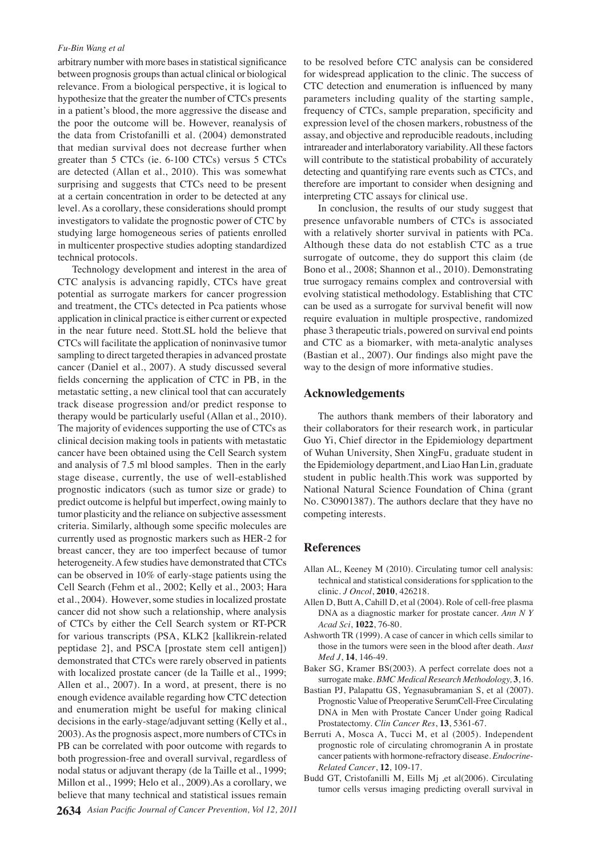#### *Fu-Bin Wang et al*

arbitrary number with more bases in statistical significance between prognosis groups than actual clinical or biological relevance. From a biological perspective, it is logical to hypothesize that the greater the number of CTCs presents in a patient's blood, the more aggressive the disease and the poor the outcome will be. However, reanalysis of the data from Cristofanilli et al. (2004) demonstrated that median survival does not decrease further when greater than 5 CTCs (ie. 6-100 CTCs) versus 5 CTCs are detected (Allan et al., 2010). This was somewhat surprising and suggests that CTCs need to be present at a certain concentration in order to be detected at any level. As a corollary, these considerations should prompt investigators to validate the prognostic power of CTC by studying large homogeneous series of patients enrolled in multicenter prospective studies adopting standardized technical protocols.

Technology development and interest in the area of CTC analysis is advancing rapidly, CTCs have great potential as surrogate markers for cancer progression and treatment, the CTCs detected in Pca patients whose application in clinical practice is either current or expected in the near future need. Stott.SL hold the believe that CTCs will facilitate the application of noninvasive tumor sampling to direct targeted therapies in advanced prostate cancer (Daniel et al., 2007). A study discussed several fields concerning the application of CTC in PB, in the metastatic setting, a new clinical tool that can accurately track disease progression and/or predict response to therapy would be particularly useful (Allan et al., 2010). The majority of evidences supporting the use of CTCs as clinical decision making tools in patients with metastatic cancer have been obtained using the Cell Search system and analysis of 7.5 ml blood samples. Then in the early stage disease, currently, the use of well-established prognostic indicators (such as tumor size or grade) to predict outcome is helpful but imperfect, owing mainly to tumor plasticity and the reliance on subjective assessment criteria. Similarly, although some specific molecules are currently used as prognostic markers such as HER-2 for breast cancer, they are too imperfect because of tumor heterogeneity. A few studies have demonstrated that CTCs can be observed in 10% of early-stage patients using the Cell Search (Fehm et al., 2002; Kelly et al., 2003; Hara et al., 2004). However, some studies in localized prostate cancer did not show such a relationship, where analysis of CTCs by either the Cell Search system or RT-PCR for various transcripts (PSA, KLK2 [kallikrein-related peptidase 2], and PSCA [prostate stem cell antigen]) demonstrated that CTCs were rarely observed in patients with localized prostate cancer (de la Taille et al., 1999; Allen et al., 2007). In a word, at present, there is no enough evidence available regarding how CTC detection and enumeration might be useful for making clinical decisions in the early-stage/adjuvant setting (Kelly et al., 2003). As the prognosis aspect, more numbers of CTCs in PB can be correlated with poor outcome with regards to both progression-free and overall survival, regardless of nodal status or adjuvant therapy (de la Taille et al., 1999; Millon et al., 1999; Helo et al., 2009).As a corollary, we believe that many technical and statistical issues remain

to be resolved before CTC analysis can be considered for widespread application to the clinic. The success of CTC detection and enumeration is influenced by many parameters including quality of the starting sample, frequency of CTCs, sample preparation, specificity and expression level of the chosen markers, robustness of the assay, and objective and reproducible readouts, including intrareader and interlaboratory variability. All these factors will contribute to the statistical probability of accurately detecting and quantifying rare events such as CTCs, and therefore are important to consider when designing and interpreting CTC assays for clinical use.

In conclusion, the results of our study suggest that presence unfavorable numbers of CTCs is associated with a relatively shorter survival in patients with PCa. Although these data do not establish CTC as a true surrogate of outcome, they do support this claim (de Bono et al., 2008; Shannon et al., 2010). Demonstrating true surrogacy remains complex and controversial with evolving statistical methodology. Establishing that CTC can be used as a surrogate for survival benefit will now require evaluation in multiple prospective, randomized phase 3 therapeutic trials, powered on survival end points and CTC as a biomarker, with meta-analytic analyses (Bastian et al., 2007). Our findings also might pave the way to the design of more informative studies.

#### **Acknowledgements**

The authors thank members of their laboratory and their collaborators for their research work, in particular Guo Yi, Chief director in the Epidemiology department of Wuhan University, Shen XingFu, graduate student in the Epidemiology department, and Liao Han Lin, graduate student in public health.This work was supported by National Natural Science Foundation of China (grant No. C30901387). The authors declare that they have no competing interests.

# **References**

- Allan AL, Keeney M (2010). Circulating tumor cell analysis: technical and statistical considerations for spplication to the clinic. *J Oncol*, **2010**, 426218.
- Allen D, Butt A, Cahill D, et al (2004). Role of cell-free plasma DNA as a diagnostic marker for prostate cancer. *Ann N Y Acad Sci*, **1022**, 76-80.
- Ashworth TR (1999). A case of cancer in which cells similar to those in the tumors were seen in the blood after death. *Aust Med J*, **14**, 146-49.
- Baker SG, Kramer BS(2003). A perfect correlate does not a surrogate make. *BMC Medical Research Methodology,* **3**, 16.
- Bastian PJ, Palapattu GS, Yegnasubramanian S, et al (2007). Prognostic Value of Preoperative SerumCell-Free Circulating DNA in Men with Prostate Cancer Under going Radical Prostatectomy. *Clin Cancer Res*, **13**, 5361-67.
- Berruti A, Mosca A, Tucci M, et al (2005). Independent prognostic role of circulating chromogranin A in prostate cancer patients with hormone-refractory disease. *Endocrine-Related Cancer*, **12**, 109-17.
- Budd GT, Cristofanilli M, Eills Mj ,et al(2006). Circulating tumor cells versus imaging predicting overall survival in